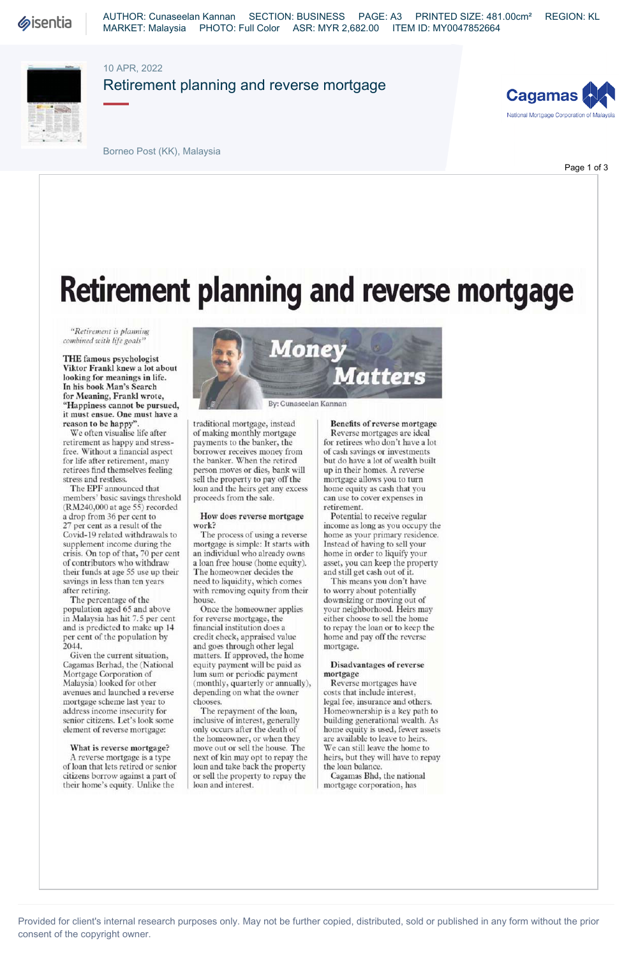

AUTHOR: Cunaseelan Kannan SECTION: BUSINESS PAGE: A3 PRINTED SIZE: 481.00cm² REGION: KL MARKET: Malaysia PHOTO: Full Color ASR: MYR 2,682.00 ITEM ID: MY0047852664

## 10 APR, 2022

Retirement planning and reverse mortgage





Page 1 of 3

Borneo Post (KK), Malaysia

Retirement planning and reverse mortgage

*"Retirement is planning combined with life goals"* 

**THE famous psychologist Viktor Frankl knew a lot about looking for meanings in life. In his book Man's Search for Meaning, Frankl wrote, "Happiness cannot be pursued, it must ensue. One must have a reason to be happy".** 

We often visualise life after retirement as happy and stressfree. Without a financial aspect for life after retirement, many retirees find themselves feeling stress and restless.

The EPF announced that members' basic savings threshold (RM240,000 at age 55) recorded a drop from 36 per cent to 27 per cent as a result of the Covid-19 related withdrawals to supplement income during the crisis. On top of that, 70 per cent of contributors who withdraw their funds at age 55 use up their savings in less than ten years after retiring.

The percentage of the population aged 65 and above in Malaysia has hit 7.5 per cent and is predicted to make up 14 per cent of the population by 2044.

Given the current situation, Cagamas Berhad, the (National Mortgage Corporation of Malaysia) looked for other avenues and launched a reverse mortgage scheme last year to address income insecurity for senior citizens. Let's look some element of reverse mortgage:

**What is reverse mortgage?**  A reverse mortgage is a type of loan that lets retired or senior citizens borrow against a part of their home's equity. Unlike the



traditional mortgage, instead of making monthly mortgage payments to the banker, the borrower receives money from the banker. When the retired person moves or dies, bank will sell the property to pay off the loan and the heirs get any excess proceeds from the sale.

### **How does reverse mortgage work?**

The process of using a reverse mortgage is simple: It starts with an individual who already owns a loan free house (home equity). The homeowner decides the need to liquidity, which comes with removing equity from their house.

Once the homeowner applies for reverse mortgage, the financial institution does a credit check, appraised value and goes through other legal matters. If approved, the home equity payment will be paid as lum sum or periodic payment (monthly, quarterly or annually), depending on what the owner chooses.

The repayment of the loan, inclusive of interest, generally only occurs after the death of the homeowner, or when they move out or sell the house. The next of kin may opt to repay the loan and take back the property or sell the property to repay the loan and interest.

## **Benefits of reverse mortgage**

Reverse mortgages are ideal for retirees who don't have a lot of cash savings or investments but do have a lot of wealth built up in their homes. A reverse mortgage allows you to turn home equity as cash that you can use to cover expenses in retirement.

Potential to receive regular income as long as you occupy the home as your primary residence. Instead of having to sell your home in order to liquify your asset, you can keep the property and still get cash out of it.

This means you don't have to worry about potentially downsizing or moving out of your neighborhood. Heirs may either choose to sell the home to repay the loan or to keep the home and pay off the reverse mortgage.

### **Disadvantages of reverse mortgage**

Reverse mortgages have costs that include interest, legal fee, insurance and others. Homeownership is a key path to building generational wealth. As home equity is used, fewer assets are available to leave to heirs. We can still leave the home to heirs, but they will have to repay the loan balance.

Cagamas Bhd, the national mortgage corporation, has

Provided for client's internal research purposes only. May not be further copied, distributed, sold or published in any form without the prior consent of the copyright owner.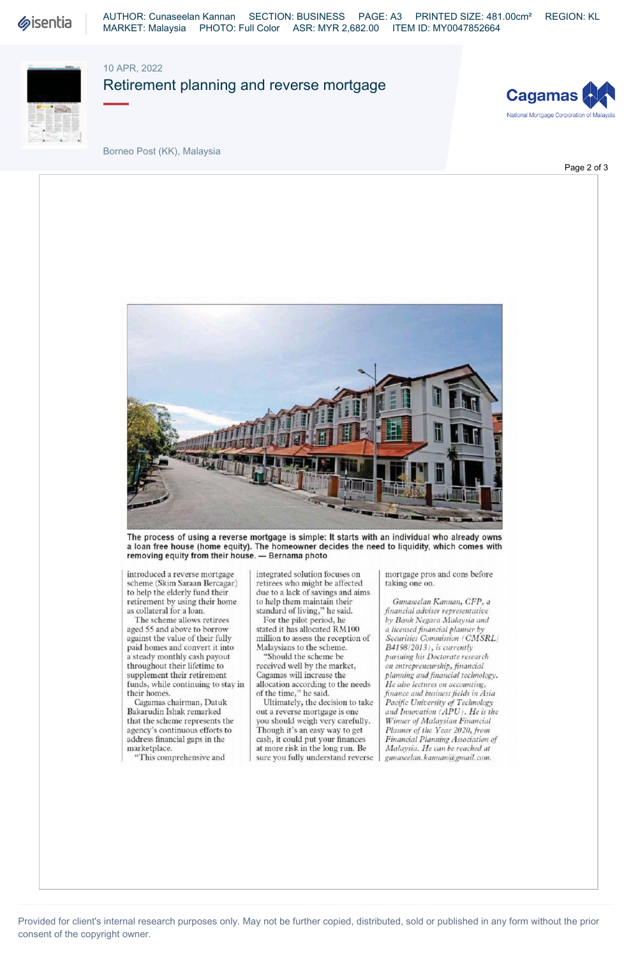

AUTHOR: Cunaseelan Kannan SECTION: BUSINESS PAGE: A3 PRINTED SIZE: 481.00cm² REGION: KL MARKET: Malaysia PHOTO: Full Color ASR: MYR 2,682.00 ITEM ID: MY0047852664

## 10 APR, 2022

Retirement planning and reverse mortgage





Borneo Post (KK), Malaysia

Page 2 of 3



The process of using a reverse mortgage is simple: It starts with an individual who already owns a loan free house (home equity). The homeowner decides the need to liquidity, which comes with removing equity from their house. — Bernama photo

introduced a reverse mortgage scheme (Skim Saraan Bercagar) to help the elderly fund their retirement by using their home as collateral for a loan.

The scheme allows retirees aged 55 and above to borrow against the value of their fully paid homes and convert it into a steady monthly cash payout throughout their lifetime to supplement their retirement funds, while continuing to stay in their homes.

Cagamas chairman, Datuk Bakarudin Ishak remarked that the scheme represents the agency's continuous efforts to address financial gaps in the marketplace.

"This comprehensive and

integrated solution focuses on retirees who might be affected due to a lack of savings and aims to help them maintain their standard of living," he said.

For the pilot period, he stated it has allocated RM100 million to assess the reception of Malaysians to the scheme.

"Should the scheme be received well by the market, Cagamas will increase the allocation according to the needs of the time," he said.

Ultimately, the decision to take out a reverse mortgage is one you should weigh very carefully. Though it's an easy way to get cash, it could put your finances at more risk in the long run. Be sure you fully understand reverse mortgage pros and cons before taking one on.

*Gunaseelan Kantian, CFP, a financial adviser representative by Bank Negara Malaysia and a licensed financial planner by Securities Commission (CMSRL B419812013), is currently pursuing his Doctorate research on entrepreneurship, financial planning and financial technology. He also lectures on accounting, finance and business fields in Asia Pacific University of Technology and Innovation (APU). He is the Winner of Malaysian Financial Planner of the Year 2020, from Financial Planning Association of Malaysia. He can be reached at gunaseelan. kannan@gmail. com.*